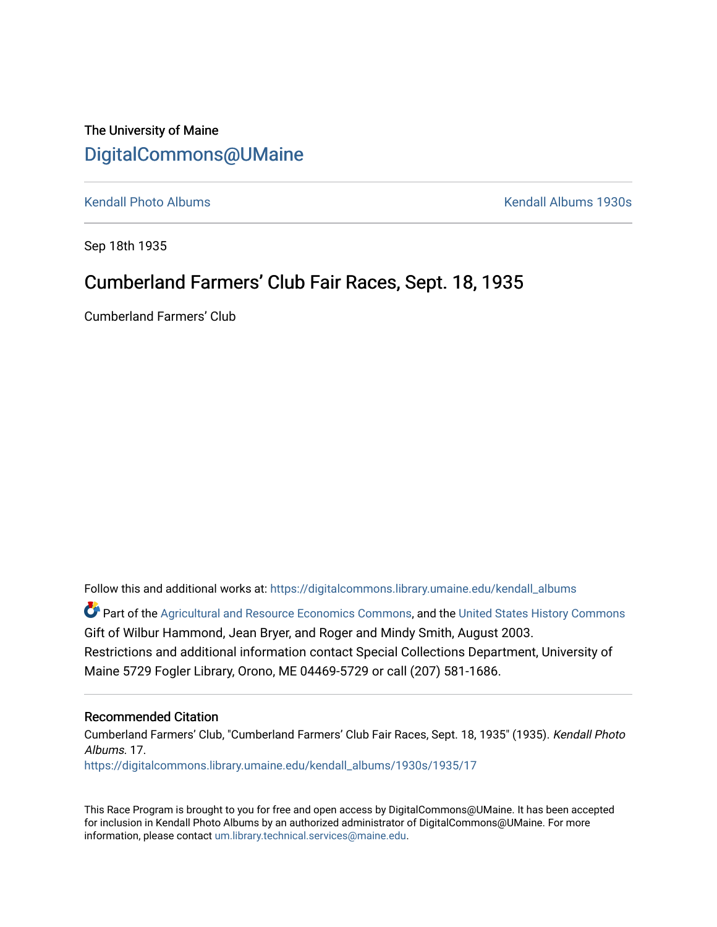## The University of Maine [DigitalCommons@UMaine](https://digitalcommons.library.umaine.edu/)

[Kendall Photo Albums](https://digitalcommons.library.umaine.edu/kendall_albums) [Kendall Albums 1930s](https://digitalcommons.library.umaine.edu/kendall_albums/1930s) 

Sep 18th 1935

## Cumberland Farmers' Club Fair Races, Sept. 18, 1935

Cumberland Farmers' Club

Follow this and additional works at: [https://digitalcommons.library.umaine.edu/kendall\\_albums](https://digitalcommons.library.umaine.edu/kendall_albums?utm_source=digitalcommons.library.umaine.edu%2Fkendall_albums%2F1930s%2F1935%2F17&utm_medium=PDF&utm_campaign=PDFCoverPages) 

**C** Part of the [Agricultural and Resource Economics Commons,](http://network.bepress.com/hgg/discipline/317?utm_source=digitalcommons.library.umaine.edu%2Fkendall_albums%2F1930s%2F1935%2F17&utm_medium=PDF&utm_campaign=PDFCoverPages) and the [United States History Commons](http://network.bepress.com/hgg/discipline/495?utm_source=digitalcommons.library.umaine.edu%2Fkendall_albums%2F1930s%2F1935%2F17&utm_medium=PDF&utm_campaign=PDFCoverPages) Gift of Wilbur Hammond, Jean Bryer, and Roger and Mindy Smith, August 2003. Restrictions and additional information contact Special Collections Department, University of Maine 5729 Fogler Library, Orono, ME 04469-5729 or call (207) 581-1686.

#### Recommended Citation

Cumberland Farmers' Club, "Cumberland Farmers' Club Fair Races, Sept. 18, 1935" (1935). Kendall Photo Albums. 17. [https://digitalcommons.library.umaine.edu/kendall\\_albums/1930s/1935/17](https://digitalcommons.library.umaine.edu/kendall_albums/1930s/1935/17?utm_source=digitalcommons.library.umaine.edu%2Fkendall_albums%2F1930s%2F1935%2F17&utm_medium=PDF&utm_campaign=PDFCoverPages)

This Race Program is brought to you for free and open access by DigitalCommons@UMaine. It has been accepted for inclusion in Kendall Photo Albums by an authorized administrator of DigitalCommons@UMaine. For more information, please contact [um.library.technical.services@maine.edu](mailto:um.library.technical.services@maine.edu).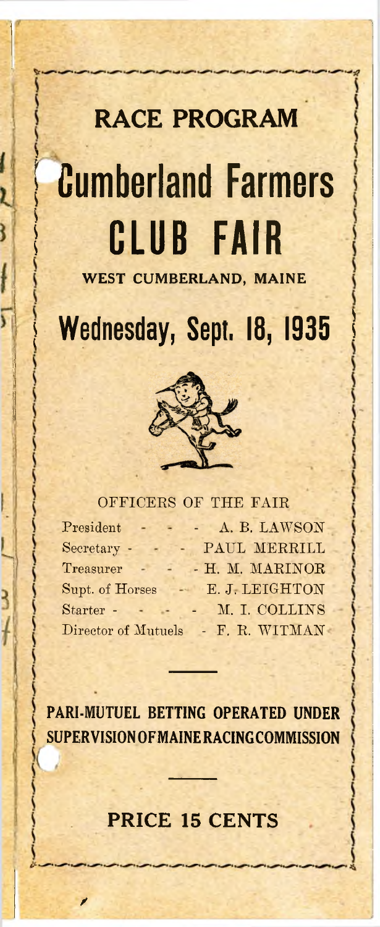# **RACE PROGRAM** Cumberland Farmers **CLUB FAIR**

ì

ł

**WEST CUMBERLAND, MAINE** 

Wednesday, Sept. 18, 1935



#### OFFICERS OF THE FAIR

| President           | A. B. LAWSON    |
|---------------------|-----------------|
| Secretary -         | PAUL MERRILL    |
| Treasurer           | - H. M. MARINOR |
| Supt. of Horses     | E. J. LEIGHTON  |
| Starter -           | M. I. COLLINS   |
| Director of Mutuels | - F. R. WITMAN  |

**PARI-MUTUEL BETTING OPERATED UNDER SUPERVISION OF MAINE RACING COMMISSION**

### **PRICE 15 CENTS**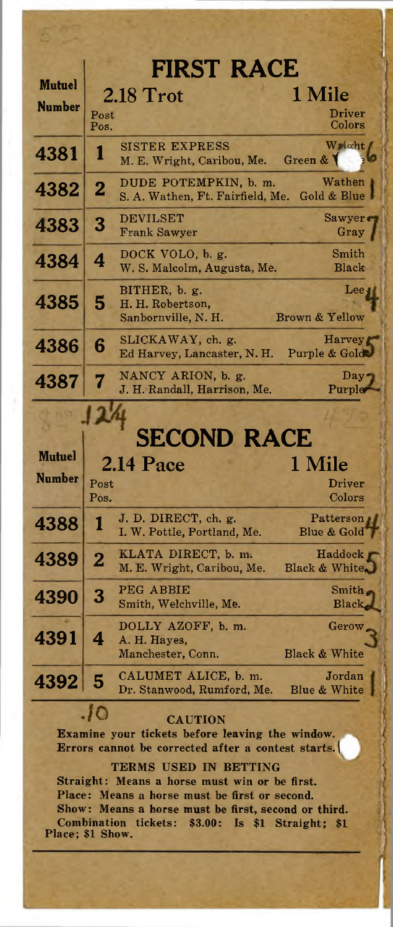|                         |                         | <b>FIRST RACE</b>                                                                                     |                                  |
|-------------------------|-------------------------|-------------------------------------------------------------------------------------------------------|----------------------------------|
| <b>Mutuel</b>           |                         | 2.18 Trot                                                                                             | 1 Mile                           |
| <b>Number</b>           | Post<br>Pos.            |                                                                                                       | <b>Driver</b><br>Colors          |
| 4381                    | ı                       | <b>SISTER EXPRESS</b><br>M. E. Wright, Caribou, Me.                                                   | Wright<br>Green & V              |
| 4382                    | $\overline{\mathbf{2}}$ | DUDE POTEMPKIN, b. m.<br>S. A. Wathen, Ft. Fairfield, Me.                                             | Wathen<br>Gold & Blue            |
| 4383                    | 3                       | <b>DEVILSET</b><br><b>Frank Sawyer</b>                                                                | Sawyer<br>Gray                   |
| 4384                    | 4                       | DOCK VOLO, b. g.<br>W. S. Malcolm, Augusta, Me.                                                       | Smith<br>Black                   |
| 4385                    | 5                       | BITHER, b. g.<br>H. H. Robertson,<br>Sanbornville, N. H.                                              | $\mathbf{Lee}$<br>Brown & Yellow |
| 4386                    | 6                       | SLICKAWAY, ch. g.<br>Ed Harvey, Lancaster, N. H.                                                      | Harvey<br>Purple & Gold          |
| 4387                    | 7                       | NANCY ARION, b. g.<br>J. H. Randall, Harrison, Me.                                                    | Day.<br>Purple                   |
|                         |                         |                                                                                                       |                                  |
|                         |                         | <b>SECOND RACE</b>                                                                                    |                                  |
|                         |                         |                                                                                                       |                                  |
| Mutuel<br><b>Number</b> |                         | $2.14$ Pace                                                                                           | 1 Mile                           |
|                         | Post<br>Pos.            |                                                                                                       | Driver<br>Colors                 |
| 4388                    | 1                       | J. D. DIRECT, ch. g.<br>I. W. Pottle, Portland, Me.                                                   | Patterson<br>Blue & Gold         |
| 4389                    | $\overline{2}$          | KLATA DIRECT, b. m.<br>M. E. Wright, Caribou, Me.                                                     | Haddock<br>Black & White.        |
| 4390                    | 3                       | PEG ABBIE<br>Smith, Welchville, Me.                                                                   | Smith<br>Black                   |
| 4391                    |                         | DOLLY AZOFF, b. m.<br>A. H. Hayes,<br>Manchester, Conn.                                               | Gerow.<br>Black & White          |
| 4392                    | 5                       | CALUMET ALICE, b. m.<br>Dr. Stanwood, Rumford, Me.                                                    | Jordan<br>Blue & White           |
|                         | .10                     | <b>CAUTION</b>                                                                                        |                                  |
|                         |                         | Examine your tickets before leaving the window.<br>Errors cannot be corrected after a contest starts. |                                  |
|                         |                         | TERMS USED IN BETTING<br>Straight: Means a horse must win or be first.                                |                                  |
|                         |                         | Place: Means a horse must be first or second.<br>Show: Means a horse must be first, second or third.  |                                  |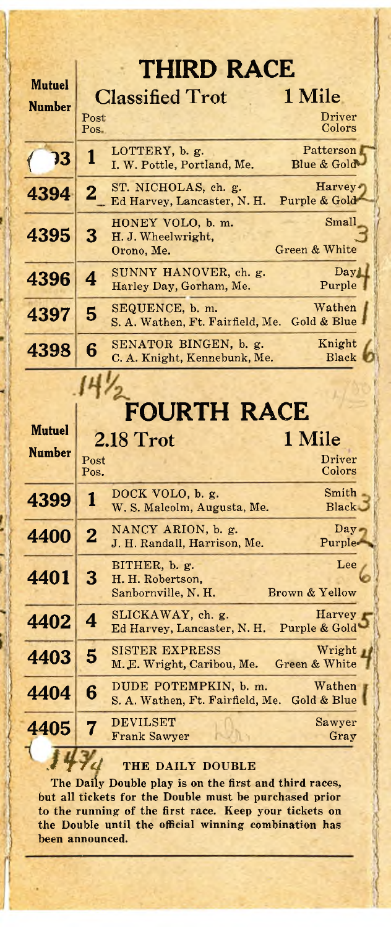| <b>THIRD RACE</b>       |                   |                                                                 |                            |
|-------------------------|-------------------|-----------------------------------------------------------------|----------------------------|
| Mutuel<br><b>Number</b> |                   | <b>Classified Trot</b>                                          | 1 Mile                     |
|                         | Post<br>$Pos_{-}$ |                                                                 | Driver<br>Colors           |
| 13                      | 1                 | LOTTERY, b. g.<br>I. W. Pottle, Portland, Me.                   | Patterson<br>Blue & Gold   |
| 4394                    | 2                 | ST. NICHOLAS, ch. g.<br>Ed Harvey, Lancaster, N. H.             | Harvey.<br>Purple & Gold   |
| 4395                    | 3                 | HONEY VOLO, b. m.<br>H. J. Wheelwright,<br>Orono, Me.           | Small<br>Green & White     |
| 4396                    | 4                 | SUNNY HANOVER, ch. g.<br>Harley Day, Gorham, Me.                | Day <sub>1</sub><br>Purple |
| 4397                    | 5                 | SEQUENCE, b. m.<br>S. A. Wathen, Ft. Fairfield, Me. Gold & Blue | Wathen                     |
| 4398                    | 6                 | SENATOR BINGEN, b. g.<br>C. A. Knight, Kennebunk, Me.           | Knight<br>Black            |

## **FOURTH RACE**

| Mutuel        |                | 2.18 Trot                                                             | 1 Mile                     |
|---------------|----------------|-----------------------------------------------------------------------|----------------------------|
| <b>Number</b> | Post<br>Pos.   |                                                                       | Driver<br>Colors           |
| 4399          | 1              | DOCK VOLO, b. g.<br>W. S. Malcolm, Augusta, Me.                       | Smith<br>Black B           |
| 4400          | $\overline{2}$ | NANCY ARION, b. g.<br>J. H. Randall, Harrison, Me.                    | $Day -$<br>Purple-         |
| 4401          | 3              | BITHER, b. g.<br>H. H. Robertson,<br>Sanbornville, N. H.              | Lee<br>Brown & Yellow      |
| 4402          | 4              | SLICKAWAY, ch. g.<br>Ed Harvey, Lancaster, N. H.                      | Harvey r<br>Purple & Gold' |
| 4403          | 5              | SISTER EXPRESS<br>M.E. Wright, Caribou, Me.                           | Wright,<br>Green & White   |
| 4404          | 6              | DUDE POTEMPKIN, b. m.<br>S. A. Wathen, Ft. Fairfield, Me. Gold & Blue | Wathen                     |
| 4405          | 7              | <b>DEVILSET</b><br><b>Frank Sawyer</b>                                | Sawyer<br>Gray             |
|               |                |                                                                       |                            |

#### **THE DAILY DOUBLE**

 $1 + 7d$ 

**The Daily Double play is on the first and third races, but all tickets for the Double must be purchased prior to the running of the first race. Keep your tickets on the Double until the official winning combination has been announced.**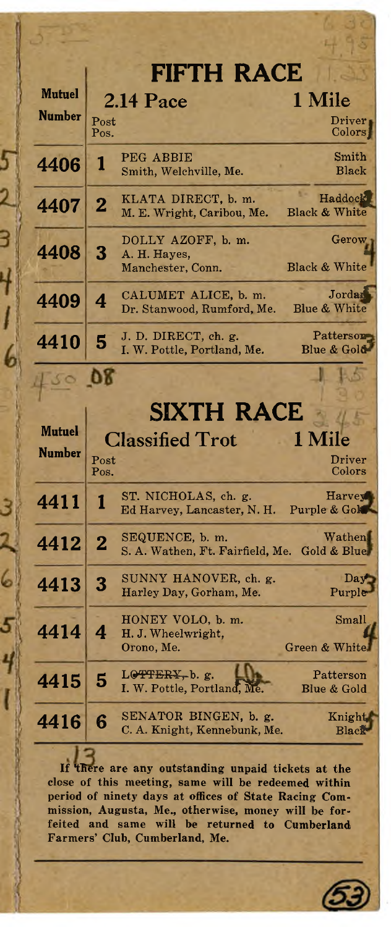|               |                | <b>FIFTH RACE</b>                                                                 |                                      |
|---------------|----------------|-----------------------------------------------------------------------------------|--------------------------------------|
| <b>Mutuel</b> |                | $2.14$ Pace                                                                       | 1 Mile                               |
| <b>Number</b> | Post<br>Pos.   |                                                                                   | Driver<br>Colors                     |
| 4406          | 1              | PEG ABBIE<br>Smith, Welchville, Me.                                               | Smith<br>Black                       |
| 4407          | $\overline{2}$ | KLATA DIRECT, b. m.<br>M. E. Wright, Caribou, Me.                                 | Haddock<br>Black & White             |
| 4408          | 3              | DOLLY AZOFF, b. m.<br>A. H. Hayes,<br>Manchester, Conn.                           | Gerow<br>Black & White               |
| 4409          | 4              | CALUMET ALICE, b. m.<br>Dr. Stanwood, Rumford, Me.                                | Jordan<br><b>Blue &amp; White</b>    |
| 4410          | 5              | J. D. DIRECT, ch. g.<br>I. W. Pottle, Portland, Me.                               | Patterson<br>Blue & Gold             |
|               |                |                                                                                   |                                      |
|               |                |                                                                                   |                                      |
| <b>Mutuel</b> |                | <b>SIXTH RACE</b>                                                                 |                                      |
| <b>Number</b> |                | <b>Classified Trot</b>                                                            | 1 Mile                               |
|               | Post<br>Pos.   |                                                                                   | Driver<br>$\mathop{\mathrm{Colors}}$ |
| 4411          | 1              | ST. NICHOLAS, ch. g.<br>Ed Harvey, Lancaster, N. H.                               | Harvey<br>Purple & Gok               |
| 4412          | $\overline{2}$ | SEQUENCE, b. m.<br>S. A. Wathen, Ft. Fairfield, Me.                               | Wathen.<br>Gold & Blue,              |
| 4413          | 3              | SUNNY HANOVER, ch. g.<br>Harley Day, Gorham, Me.                                  | Day<br>Purple                        |
| 4414          |                | HONEY VOLO, b. m.<br>H. J. Wheelwright,<br>Orono, Me.                             | Small<br>Green & White               |
| 4415          | 5              | $L$ $\Theta$ <del>T</del> FER <sub>Y</sub> , b. g.<br>I. W. Pottle, Portland, Me. | Patterson<br>Blue & Gold             |
|               |                |                                                                                   |                                      |
| 4416          | 6              | SENATOR BINGEN, b. g.<br>C. A. Knight, Kennebunk, Me.                             | Knight<br>Black                      |

5

Ë

6

6

**If there are any outstanding unpaid tickets at the close of this meeting, same will be redeemed within period of ninety days at offices of State Racing Commission, Augusta, Me., otherwise, money will be forfeited and same will be returned to Cumberland Farm ers' Club, Cumberland, Me.**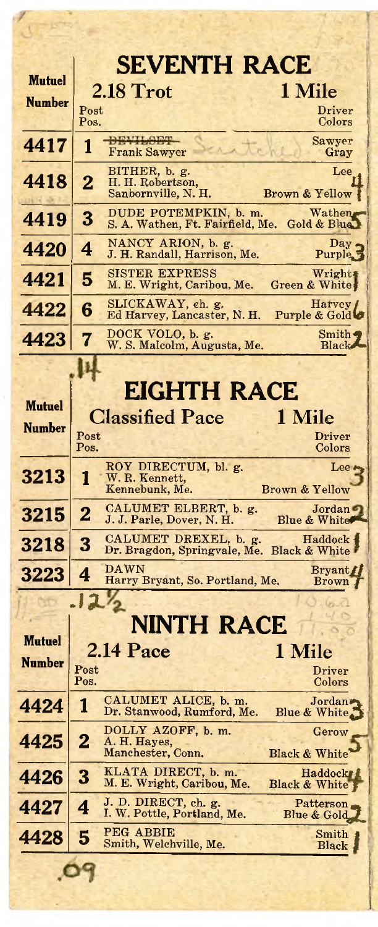|               | <b>SEVENTH RACE</b>                                                                                       |
|---------------|-----------------------------------------------------------------------------------------------------------|
| <b>Mutuel</b> | $2.18$ Trot<br>1 Mile                                                                                     |
| <b>Number</b> | Post<br>Driver<br>Pos.<br>Colors                                                                          |
| 4417          | <b>DEVILOPE</b><br>Sawyer<br>1<br><b>Frank Sawyer</b><br>Gray                                             |
|               | BITHER, b. g.<br>Lee                                                                                      |
| 4418          | $\overline{2}$<br>H. H. Robertson,<br>Sanbornville, N. H.<br>Brown & Yellow                               |
| 4419          | DUDE POTEMPKIN, b. m.<br>Wathen<br>3<br>S. A. Wathen, Ft. Fairfield, Me.<br>Gold & Blue                   |
| 4420          | NANCY ARION, b. g.<br>Day.<br>4<br>J. H. Randall, Harrison, Me.<br>Purple <sub>5</sub>                    |
| 4421          | <b>SISTER EXPRESS</b><br>Wright<br>5<br>M. E. Wright, Caribou, Me.<br>Green & White                       |
| 4422          | SLICKAWAY, ch. g.<br>Harvey<br>6<br>Ed Harvey, Lancaster, N. H.<br>Purple & Gold                          |
| 4423          | DOCK VOLO, b. g.<br>Smith $\triangleleft$<br>7<br>W. S. Malcolm, Augusta, Me.<br><b>Black</b>             |
|               |                                                                                                           |
| <b>Mutuel</b> | <b>EIGHTH RACE</b>                                                                                        |
| <b>Number</b> | <b>Classified Pace</b><br>1 Mile                                                                          |
|               | Post<br>Driver<br>Pos.<br>Colors                                                                          |
| 3213          | ROY DIRECTUM, bl. g.<br>Lee<br>1<br>W. R. Kennett,                                                        |
|               | Kennebunk, Me.<br>Brown & Yellow                                                                          |
| 3215          | CALUMET ELBERT, b. g.<br>Jordan<br>$\overline{2}$<br>J. J. Parle, Dover, N. H.<br><b>Blue &amp; White</b> |
| 3218          | CALUMET DREXEL, b. g.<br>Haddock i<br>3<br>Dr. Bragdon, Springvale, Me.<br>Black & White                  |
| 3223          | <b>DAWN</b><br><b>Bryant</b><br>4<br>Harry Bryant, So. Portland, Me.<br><b>Brown</b>                      |
|               | 12'                                                                                                       |
| <b>Mutuel</b> | NINTH RACE                                                                                                |
| <b>Number</b> | 2.14 Pace<br>1 Mile                                                                                       |
|               | $\bf Post$<br><b>Driver</b><br>Pos.<br>Colors                                                             |
| 4424          | CALUMET ALICE, b. m.<br>Jordan»<br>1<br>Dr. Stanwood, Rumford, Me.<br>Blue & White                        |
| 4425          | DOLLY AZOFF, b. m.<br>Gerow<br>$\overline{2}$<br>A. H. Hayes,                                             |
| 4426          | Manchester, Conn.<br><b>Black &amp; White</b><br>KLATA DIRECT, b. m.<br>Haddock <sub>k</sub><br>3         |
| 4427          | M. E. Wright, Caribou, Me.<br>Black & White<br>J. D. DIRECT, ch. g.<br>Patterson<br>4                     |
|               | I. W. Pottle, Portland, Me.<br>Blue & Gold<br>PEG ABBIE                                                   |
| 4428          | Smith<br>5<br>Smith, Welchville, Me.<br>Black                                                             |
|               |                                                                                                           |